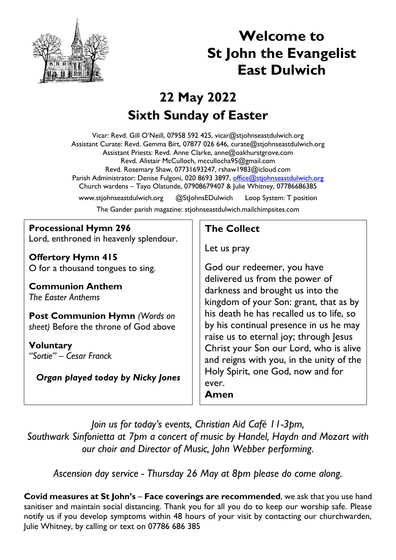

# **Welcome to St John the Evangelist East Dulwich**

## **22 May 2022 Sixth Sunday of Easter**

Vicar: Revd. Gill O'Neill, 07958 592 425, vicar@stjohnseastdulwich.org Assistant Curate: Revd. Gemma Birt, 07877 026 646, curate@stjohnseastdulwich.org Assistant Priests: Revd. Anne Clarke, anne@oakhurstgrove.com Revd. Alistair McCulloch, mccullocha95@gmail.com Revd. Rosemary Shaw, 07731693247, rshaw1983@icloud.com Parish Administrator: Denise Fulgoni, 020 8693 3897, [office@stjohnseastdulwich.org](mailto:office@stjohnseastdulwich.org) Church wardens – Tayo Olatunde, 07908679407 & Julie Whitney, 07786686385

www.stjohnseastdulwich.org @StJohnsEDulwich Loop System: T position The Gander parish magazine: stjohnseastdulwich.mailchimpsites.com

#### **Processional Hymn 296**

Lord, enthroned in heavenly splendour.

**Offertory Hymn 415** O for a thousand tongues to sing.

**Communion Anthem** *The Easter Anthems*

**Post Communion Hymn** *(Words on sheet)* Before the throne of God above

**Voluntary** *"Sortie" – Cesar Franck*

*Organ played today by Nicky Jones*

#### **The Collect**

Let us pray

God our redeemer, you have delivered us from the power of darkness and brought us into the kingdom of your Son: grant, that as by his death he has recalled us to life, so by his continual presence in us he may raise us to eternal joy; through Jesus Christ your Son our Lord, who is alive and reigns with you, in the unity of the Holy Spirit, one God, now and for ever. **Amen**

*Join us for today's events, Christian Aid Café 11-3pm, Southwark Sinfonietta at 7pm a concert of music by Handel, Haydn and Mozart with our choir and Director of Music, John Webber performing.*

*Ascension day service - Thursday 26 May at 8pm please do come along.*

**Covid measures at St John's** – **Face coverings are recommended**, we ask that you use hand sanitiser and maintain social distancing. Thank you for all you do to keep our worship safe. Please notify us if you develop symptoms within 48 hours of your visit by contacting our churchwarden, Julie Whitney, by calling or text on 07786 686 385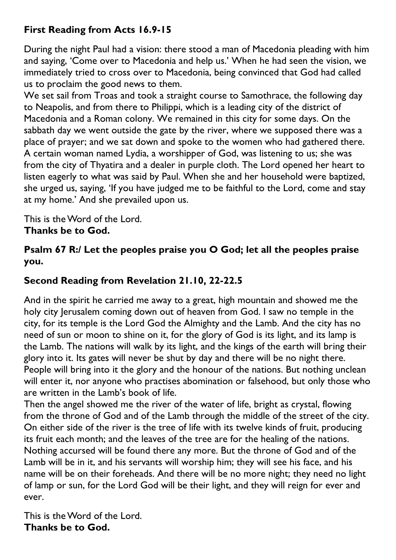## **First Reading from Acts 16.9-15**

During the night Paul had a vision: there stood a man of Macedonia pleading with him and saying, 'Come over to Macedonia and help us.' When he had seen the vision, we immediately tried to cross over to Macedonia, being convinced that God had called us to proclaim the good news to them.

We set sail from Troas and took a straight course to Samothrace, the following day to Neapolis, and from there to Philippi, which is a leading city of the district of Macedonia and a Roman colony. We remained in this city for some days. On the sabbath day we went outside the gate by the river, where we supposed there was a place of prayer; and we sat down and spoke to the women who had gathered there. A certain woman named Lydia, a worshipper of God, was listening to us; she was from the city of Thyatira and a dealer in purple cloth. The Lord opened her heart to listen eagerly to what was said by Paul. When she and her household were baptized, she urged us, saying, 'If you have judged me to be faithful to the Lord, come and stay at my home.' And she prevailed upon us.

This is the Word of the Lord. **Thanks be to God.**

#### **Psalm 67 R:/ Let the peoples praise you O God; let all the peoples praise you.**

## **Second Reading from Revelation 21.10, 22-22.5**

And in the spirit he carried me away to a great, high mountain and showed me the holy city Jerusalem coming down out of heaven from God. I saw no temple in the city, for its temple is the Lord God the Almighty and the Lamb. And the city has no need of sun or moon to shine on it, for the glory of God is its light, and its lamp is the Lamb. The nations will walk by its light, and the kings of the earth will bring their glory into it. Its gates will never be shut by day and there will be no night there. People will bring into it the glory and the honour of the nations. But nothing unclean will enter it, nor anyone who practises abomination or falsehood, but only those who are written in the Lamb's book of life.

Then the angel showed me the river of the water of life, bright as crystal, flowing from the throne of God and of the Lamb through the middle of the street of the city. On either side of the river is the tree of life with its twelve kinds of fruit, producing its fruit each month; and the leaves of the tree are for the healing of the nations. Nothing accursed will be found there any more. But the throne of God and of the Lamb will be in it, and his servants will worship him; they will see his face, and his name will be on their foreheads. And there will be no more night; they need no light of lamp or sun, for the Lord God will be their light, and they will reign for ever and ever.

This is the Word of the Lord. **Thanks be to God.**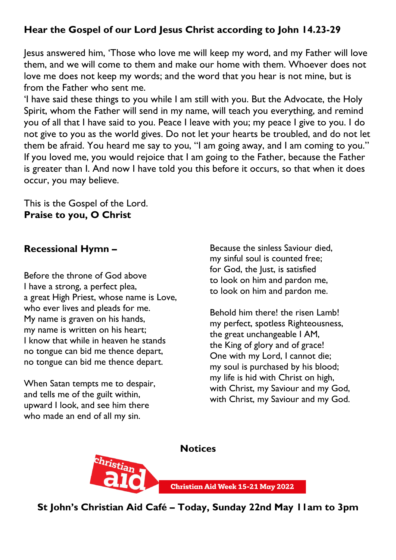#### **Hear the Gospel of our Lord Jesus Christ according to John 14.23-29**

Jesus answered him, 'Those who love me will keep my word, and my Father will love them, and we will come to them and make our home with them. Whoever does not love me does not keep my words; and the word that you hear is not mine, but is from the Father who sent me.

'I have said these things to you while I am still with you. But the Advocate, the Holy Spirit, whom the Father will send in my name, will teach you everything, and remind you of all that I have said to you. Peace I leave with you; my peace I give to you. I do not give to you as the world gives. Do not let your hearts be troubled, and do not let them be afraid. You heard me say to you, "I am going away, and I am coming to you." If you loved me, you would rejoice that I am going to the Father, because the Father is greater than I. And now I have told you this before it occurs, so that when it does occur, you may believe.

This is the Gospel of the Lord. **Praise to you, O Christ**

#### **Recessional Hymn –**

Before the throne of God above I have a strong, a perfect plea, a great High Priest, whose name is Love, who ever lives and pleads for me. My name is graven on his hands, my name is written on his heart; I know that while in heaven he stands no tongue can bid me thence depart, no tongue can bid me thence depart.

When Satan tempts me to despair, and tells me of the guilt within, upward I look, and see him there who made an end of all my sin.

Because the sinless Saviour died, my sinful soul is counted free; for God, the Just, is satisfied to look on him and pardon me, to look on him and pardon me.

Behold him there! the risen Lamb! my perfect, spotless Righteousness, the great unchangeable I AM, the King of glory and of grace! One with my Lord, I cannot die; my soul is purchased by his blood; my life is hid with Christ on high, with Christ, my Saviour and my God, with Christ, my Saviour and my God.



**St John's Christian Aid Café – Today, Sunday 22nd May 11am to 3pm**